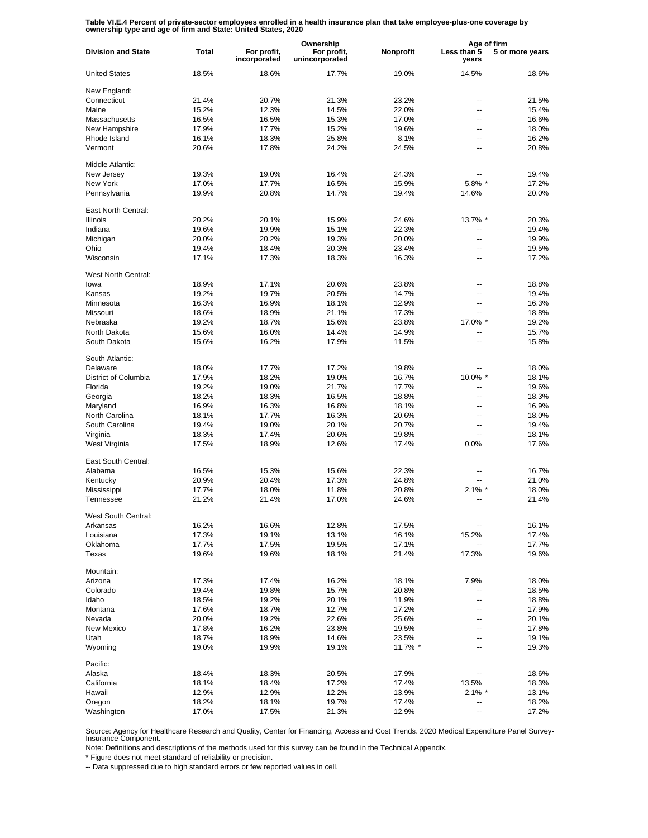**Table VI.E.4 Percent of private-sector employees enrolled in a health insurance plan that take employee-plus-one coverage by ownership type and age of firm and State: United States, 2020**

|                           |                |                             | Ownership                     |                | Age of firm          |                 |
|---------------------------|----------------|-----------------------------|-------------------------------|----------------|----------------------|-----------------|
| <b>Division and State</b> | <b>Total</b>   | For profit,<br>incorporated | For profit,<br>unincorporated | Nonprofit      | Less than 5<br>years | 5 or more years |
| <b>United States</b>      | 18.5%          | 18.6%                       | 17.7%                         | 19.0%          | 14.5%                | 18.6%           |
| New England:              |                |                             |                               |                |                      |                 |
| Connecticut               | 21.4%          | 20.7%                       | 21.3%                         | 23.2%          |                      | 21.5%           |
| Maine                     | 15.2%          | 12.3%                       | 14.5%                         | 22.0%          | --                   | 15.4%           |
| Massachusetts             | 16.5%          | 16.5%                       | 15.3%                         | 17.0%          | --                   | 16.6%           |
| New Hampshire             | 17.9%          | 17.7%                       | 15.2%                         | 19.6%          | --                   | 18.0%           |
| Rhode Island              | 16.1%          | 18.3%                       | 25.8%                         | 8.1%           | --                   | 16.2%           |
| Vermont                   | 20.6%          | 17.8%                       | 24.2%                         | 24.5%          | --                   | 20.8%           |
| Middle Atlantic:          |                |                             |                               |                |                      |                 |
| New Jersey                | 19.3%          | 19.0%                       | 16.4%                         | 24.3%          |                      | 19.4%           |
| New York                  | 17.0%          | 17.7%                       | 16.5%                         | 15.9%          | 5.8% *               | 17.2%           |
| Pennsylvania              | 19.9%          | 20.8%                       | 14.7%                         | 19.4%          | 14.6%                | 20.0%           |
| East North Central:       |                |                             |                               |                |                      |                 |
| <b>Illinois</b>           | 20.2%          | 20.1%                       | 15.9%                         | 24.6%          | 13.7% *              | 20.3%           |
| Indiana                   | 19.6%          | 19.9%                       | 15.1%                         | 22.3%          | ۵.                   | 19.4%           |
| Michigan                  | 20.0%          | 20.2%                       | 19.3%                         | 20.0%          | Ξ.                   | 19.9%           |
| Ohio                      | 19.4%          | 18.4%                       | 20.3%                         | 23.4%          | $\overline{a}$       | 19.5%           |
| Wisconsin                 | 17.1%          | 17.3%                       | 18.3%                         | 16.3%          | Ξ.                   | 17.2%           |
| West North Central:       |                |                             |                               |                |                      |                 |
| lowa                      | 18.9%          | 17.1%                       | 20.6%                         | 23.8%          |                      | 18.8%           |
| Kansas                    | 19.2%          | 19.7%                       | 20.5%                         | 14.7%          | ٠.                   | 19.4%           |
| Minnesota                 | 16.3%          | 16.9%                       | 18.1%                         | 12.9%          | --                   | 16.3%           |
| Missouri                  | 18.6%          | 18.9%                       | 21.1%                         | 17.3%          | --                   | 18.8%           |
| Nebraska                  | 19.2%          | 18.7%                       | 15.6%                         | 23.8%          | 17.0% *              | 19.2%           |
| North Dakota              | 15.6%          | 16.0%                       | 14.4%                         | 14.9%          | --                   | 15.7%           |
| South Dakota              | 15.6%          | 16.2%                       | 17.9%                         | 11.5%          | --                   | 15.8%           |
| South Atlantic:           |                |                             |                               |                |                      |                 |
| Delaware                  | 18.0%          | 17.7%                       | 17.2%                         | 19.8%          | --                   | 18.0%           |
| District of Columbia      | 17.9%          | 18.2%                       | 19.0%                         | 16.7%          | 10.0% *              | 18.1%           |
| Florida                   | 19.2%          | 19.0%                       | 21.7%                         | 17.7%          | --                   | 19.6%           |
| Georgia                   | 18.2%          | 18.3%                       | 16.5%                         | 18.8%          | $\overline{a}$       | 18.3%           |
| Maryland                  | 16.9%          | 16.3%                       | 16.8%                         | 18.1%          | --                   | 16.9%           |
| North Carolina            | 18.1%          | 17.7%                       | 16.3%                         | 20.6%          | --                   | 18.0%           |
| South Carolina            | 19.4%          | 19.0%                       | 20.1%                         | 20.7%          | --                   | 19.4%           |
| Virginia                  | 18.3%          | 17.4%                       | 20.6%                         | 19.8%          | --                   | 18.1%           |
| West Virginia             | 17.5%          | 18.9%                       | 12.6%                         | 17.4%          | 0.0%                 | 17.6%           |
| East South Central:       |                |                             |                               |                |                      |                 |
| Alabama                   | 16.5%          | 15.3%                       | 15.6%                         | 22.3%          | --                   | 16.7%           |
| Kentucky                  | 20.9%          | 20.4%                       | 17.3%                         | 24.8%          |                      | 21.0%           |
| Mississippi               | 17.7%          | 18.0%                       | 11.8%                         | 20.8%          | $2.1\%$ *            | 18.0%           |
| Tennessee                 | 21.2%          | 21.4%                       | 17.0%                         | 24.6%          | $\overline{a}$       | 21.4%           |
| West South Central:       |                |                             |                               |                |                      |                 |
| Arkansas                  | 16.2%          | 16.6%                       | 12.8%                         | 17.5%          |                      | 16.1%           |
| Louisiana                 | 17.3%          | 19.1%                       | 13.1%                         | 16.1%          | 15.2%                | 17.4%           |
| Oklahoma<br>Texas         | 17.7%<br>19.6% | 17.5%<br>19.6%              | 19.5%<br>18.1%                | 17.1%<br>21.4% | 17.3%                | 17.7%<br>19.6%  |
|                           |                |                             |                               |                |                      |                 |
| Mountain:                 |                |                             |                               |                |                      |                 |
| Arizona                   | 17.3%          | 17.4%                       | 16.2%                         | 18.1%          | 7.9%                 | 18.0%           |
| Colorado                  | 19.4%          | 19.8%                       | 15.7%                         | 20.8%          | --                   | 18.5%           |
| Idaho                     | 18.5%          | 19.2%                       | 20.1%                         | 11.9%          | ۰.                   | 18.8%           |
| Montana                   | 17.6%          | 18.7%                       | 12.7%                         | 17.2%          | --                   | 17.9%           |
| Nevada                    | 20.0%          | 19.2%                       | 22.6%                         | 25.6%          | --                   | 20.1%           |
| New Mexico                | 17.8%          | 16.2%                       | 23.8%                         | 19.5%          | --                   | 17.8%           |
| Utah                      | 18.7%          | 18.9%                       | 14.6%                         | 23.5%          | --                   | 19.1%           |
| Wyoming                   | 19.0%          | 19.9%                       | 19.1%                         | 11.7% *        | --                   | 19.3%           |
| Pacific:                  |                |                             |                               |                |                      |                 |
| Alaska                    | 18.4%          | 18.3%                       | 20.5%                         | 17.9%          | ٠.                   | 18.6%           |
| California                | 18.1%          | 18.4%                       | 17.2%                         | 17.4%          | 13.5%                | 18.3%           |
| Hawaii                    | 12.9%          | 12.9%                       | 12.2%                         | 13.9%          | $2.1\%$ *            | 13.1%           |
| Oregon                    | 18.2%          | 18.1%                       | 19.7%                         | 17.4%          | --                   | 18.2%           |
| Washington                | 17.0%          | 17.5%                       | 21.3%                         | 12.9%          |                      | 17.2%           |

Source: Agency for Healthcare Research and Quality, Center for Financing, Access and Cost Trends. 2020 Medical Expenditure Panel Survey-Insurance Component.

Note: Definitions and descriptions of the methods used for this survey can be found in the Technical Appendix.

\* Figure does not meet standard of reliability or precision.

-- Data suppressed due to high standard errors or few reported values in cell.